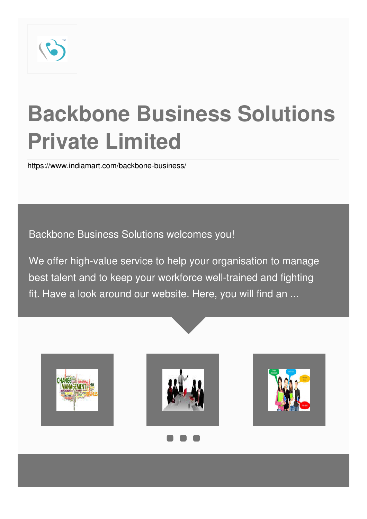

# **Backbone Business Solutions Private Limited**

<https://www.indiamart.com/backbone-business/>

Backbone Business Solutions welcomes you!

We offer high-value service to help your organisation to manage best talent and to keep your workforce well-trained and fighting fit. Have a look around our website. Here, you will find an ...

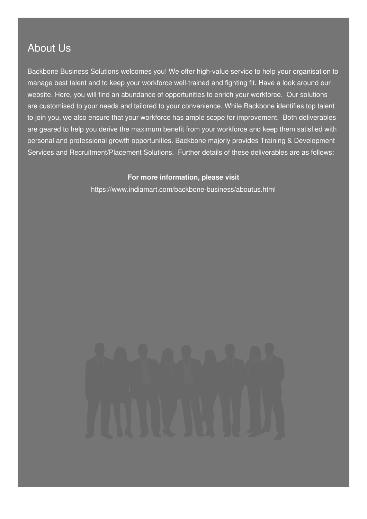### About Us

Backbone Business Solutions welcomes you! We offer high-value service to help your organisation to manage best talent and to keep your workforce well-trained and fighting fit. Have a look around our website. Here, you will find an abundance of opportunities to enrich your workforce. Our solutions are customised to your needs and tailored to your convenience. While Backbone identifies top talent to join you, we also ensure that your workforce has ample scope for improvement. Both deliverables are geared to help you derive the maximum benefit from your workforce and keep them satisfied with personal and professional growth opportunities. Backbone majorly provides Training & Development Services and Recruitment/Placement Solutions. Further details of these deliverables are as follows:

#### **For more information, please visit**

<https://www.indiamart.com/backbone-business/aboutus.html>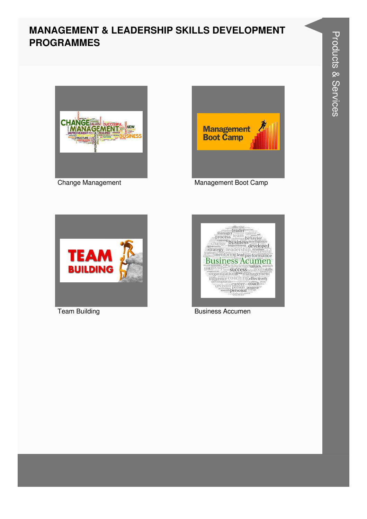#### **MANAGEMENT & LEADERSHIP SKILLS DEVELOPMENT PROGRAMMES**





Change Management Management Boot Camp





Team Building **Business Accumen**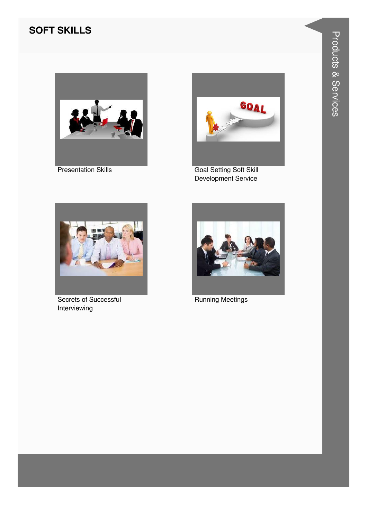#### **SOFT SKILLS**



**Presentation Skills** 



**Goal Setting Soft Skill** Development Service



Secrets of Successful Interviewing



**Running Meetings**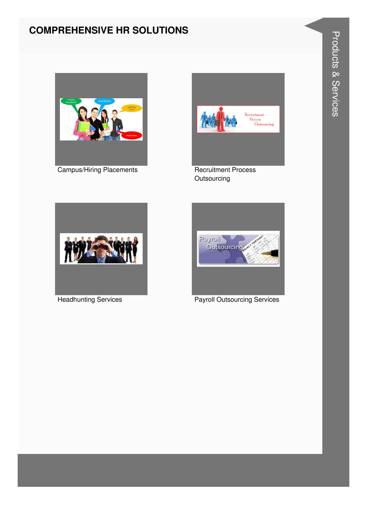#### **COMPREHENSIVE HR SOLUTIONS**



**Campus/Hiring Placements** 



Outsourcing



**Headhunting Services** 



**Products & Services**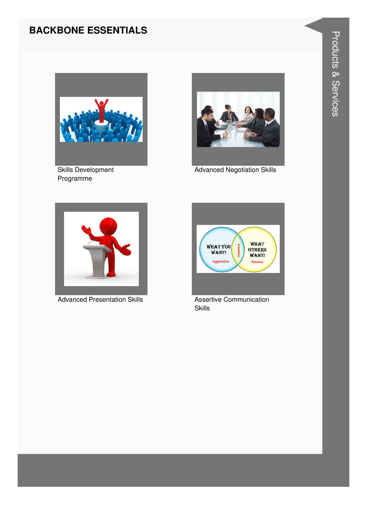#### **BACKBONE ESSENTIALS**



Skills Development Programme



Advanced Negotiation Skills



Advanced Presentation Skills **Assertive Communication** 



Skills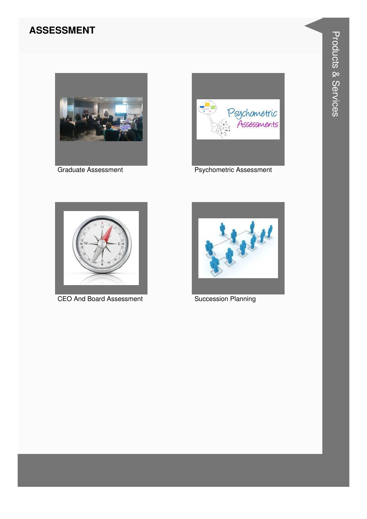#### **ASSESSMENT**



**Graduate Assessment** 



**Psychometric Assessment** 



**CEO And Board Assessment** 



**Succession Planning**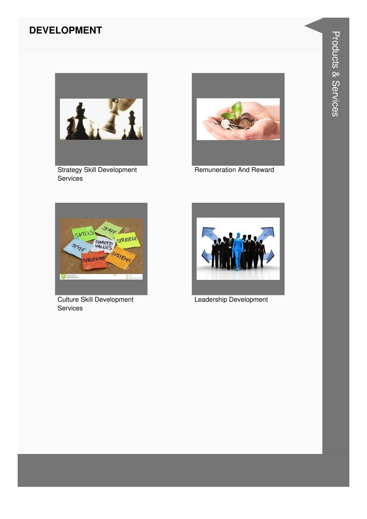#### **DEVELOPMENT**



**Strategy Skill Development** Services



**Remuneration And Reward** 



**Culture Skill Development** Services



Leadership Development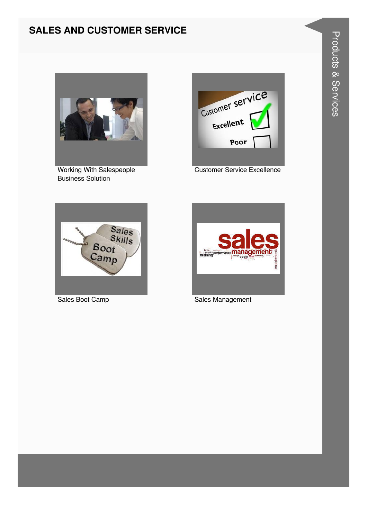#### **SALES AND CUSTOMER SERVICE**



Working With Salespeople Business Solution



Customer Service Excellence





Sales Boot Camp Sales Management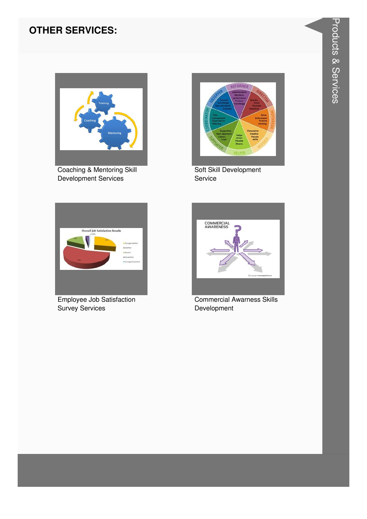#### **OTHER SERVICES:**



Coaching & Mentoring Skill Development Services



Soft Skill Development Service



Employee Job Satisfaction Survey Services



**Commercial Awarness Skills** Development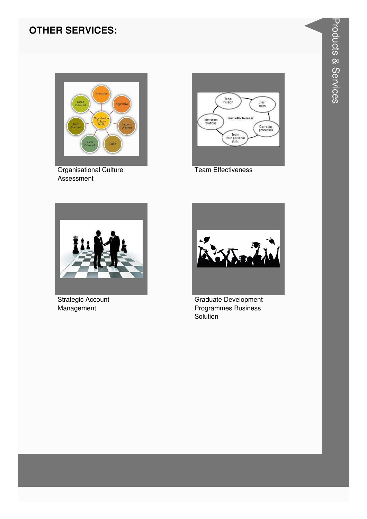#### **OTHER SERVICES:**



**Organisational Culture** Assessment



**Team Effectiveness** 



**Strategic Account** Management



Graduate Development Programmes Business Solution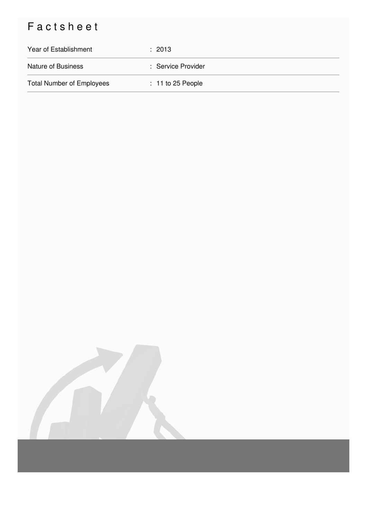## Factsheet

| Year of Establishment            | $\div$ 2013         |
|----------------------------------|---------------------|
| <b>Nature of Business</b>        | : Service Provider  |
| <b>Total Number of Employees</b> | $: 11$ to 25 People |